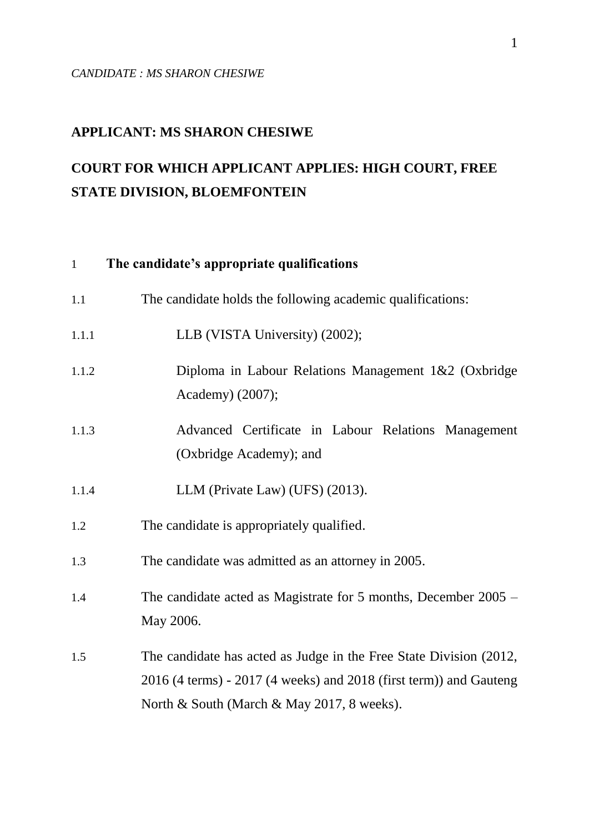# **APPLICANT: MS SHARON CHESIWE**

# **COURT FOR WHICH APPLICANT APPLIES: HIGH COURT, FREE STATE DIVISION, BLOEMFONTEIN**

# 1 **The candidate's appropriate qualifications**

| 1.1   | The candidate holds the following academic qualifications:                                                                                                                                   |
|-------|----------------------------------------------------------------------------------------------------------------------------------------------------------------------------------------------|
| 1.1.1 | LLB (VISTA University) (2002);                                                                                                                                                               |
| 1.1.2 | Diploma in Labour Relations Management 1&2 (Oxbridge<br>Academy) (2007);                                                                                                                     |
| 1.1.3 | Advanced Certificate in Labour Relations Management<br>(Oxbridge Academy); and                                                                                                               |
| 1.1.4 | LLM (Private Law) (UFS) (2013).                                                                                                                                                              |
| 1.2   | The candidate is appropriately qualified.                                                                                                                                                    |
| 1.3   | The candidate was admitted as an attorney in 2005.                                                                                                                                           |
| 1.4   | The candidate acted as Magistrate for 5 months, December 2005 –<br>May 2006.                                                                                                                 |
| 1.5   | The candidate has acted as Judge in the Free State Division (2012,<br>$2016$ (4 terms) - $2017$ (4 weeks) and $2018$ (first term)) and Gauteng<br>North & South (March & May 2017, 8 weeks). |
|       |                                                                                                                                                                                              |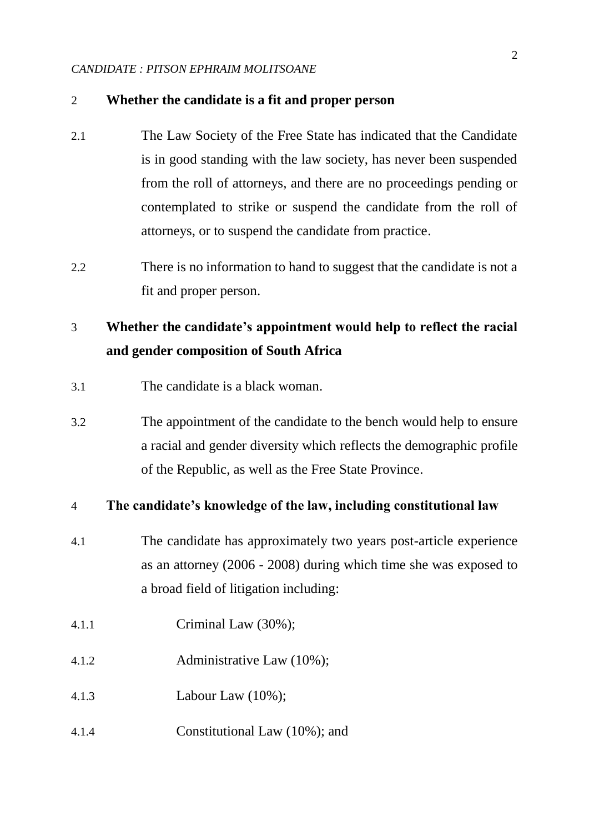#### 2 **Whether the candidate is a fit and proper person**

- 2.1 The Law Society of the Free State has indicated that the Candidate is in good standing with the law society, has never been suspended from the roll of attorneys, and there are no proceedings pending or contemplated to strike or suspend the candidate from the roll of attorneys, or to suspend the candidate from practice.
- 2.2 There is no information to hand to suggest that the candidate is not a fit and proper person.

# 3 **Whether the candidate's appointment would help to reflect the racial and gender composition of South Africa**

- 3.1 The candidate is a black woman.
- 3.2 The appointment of the candidate to the bench would help to ensure a racial and gender diversity which reflects the demographic profile of the Republic, as well as the Free State Province.

## 4 **The candidate's knowledge of the law, including constitutional law**

- 4.1 The candidate has approximately two years post-article experience as an attorney (2006 - 2008) during which time she was exposed to a broad field of litigation including:
- 4.1.1 Criminal Law (30%);
- 4.1.2 Administrative Law (10%);
- 4.1.3 Labour Law (10%);
- 4.1.4 Constitutional Law (10%); and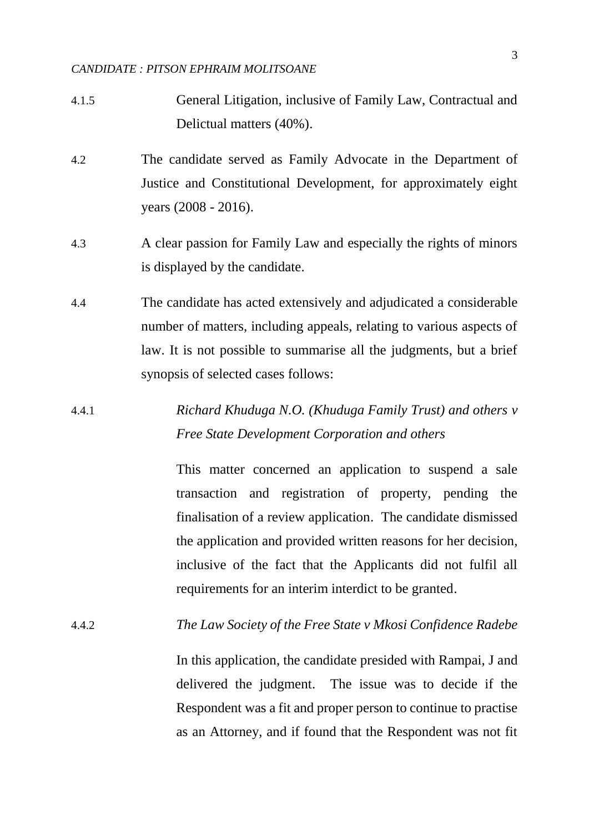- 4.1.5 General Litigation, inclusive of Family Law, Contractual and Delictual matters (40%).
- 4.2 The candidate served as Family Advocate in the Department of Justice and Constitutional Development, for approximately eight years (2008 - 2016).
- 4.3 A clear passion for Family Law and especially the rights of minors is displayed by the candidate.
- 4.4 The candidate has acted extensively and adjudicated a considerable number of matters, including appeals, relating to various aspects of law. It is not possible to summarise all the judgments, but a brief synopsis of selected cases follows:
- 4.4.1 *Richard Khuduga N.O. (Khuduga Family Trust) and others v Free State Development Corporation and others*

This matter concerned an application to suspend a sale transaction and registration of property, pending the finalisation of a review application. The candidate dismissed the application and provided written reasons for her decision, inclusive of the fact that the Applicants did not fulfil all requirements for an interim interdict to be granted.

as an Attorney, and if found that the Respondent was not fit

4.4.2 *The Law Society of the Free State v Mkosi Confidence Radebe* In this application, the candidate presided with Rampai, J and delivered the judgment. The issue was to decide if the Respondent was a fit and proper person to continue to practise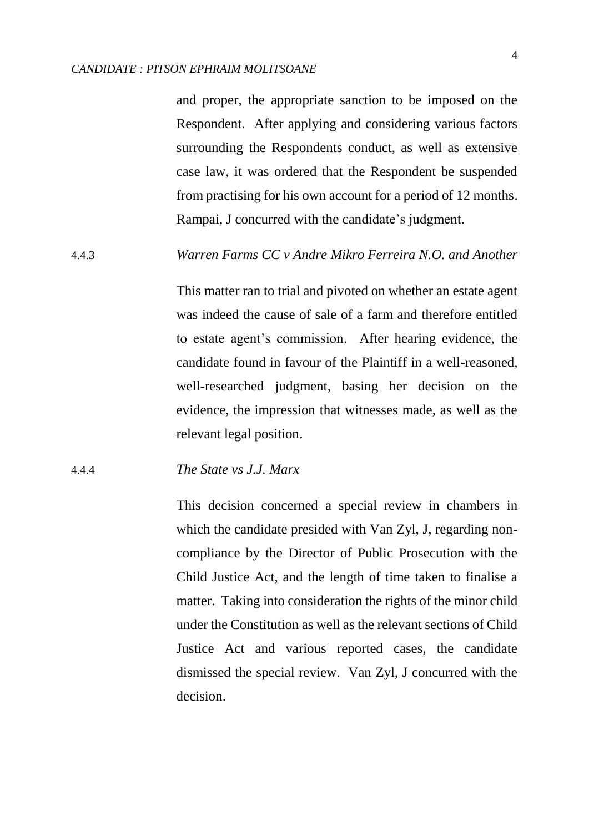and proper, the appropriate sanction to be imposed on the Respondent. After applying and considering various factors surrounding the Respondents conduct, as well as extensive case law, it was ordered that the Respondent be suspended from practising for his own account for a period of 12 months. Rampai, J concurred with the candidate's judgment.

## 4.4.3 *Warren Farms CC v Andre Mikro Ferreira N.O. and Another*

This matter ran to trial and pivoted on whether an estate agent was indeed the cause of sale of a farm and therefore entitled to estate agent's commission. After hearing evidence, the candidate found in favour of the Plaintiff in a well-reasoned, well-researched judgment, basing her decision on the evidence, the impression that witnesses made, as well as the relevant legal position.

#### 4.4.4 *The State vs J.J. Marx*

This decision concerned a special review in chambers in which the candidate presided with Van Zyl, J, regarding noncompliance by the Director of Public Prosecution with the Child Justice Act, and the length of time taken to finalise a matter. Taking into consideration the rights of the minor child under the Constitution as well as the relevant sections of Child Justice Act and various reported cases, the candidate dismissed the special review. Van Zyl, J concurred with the decision.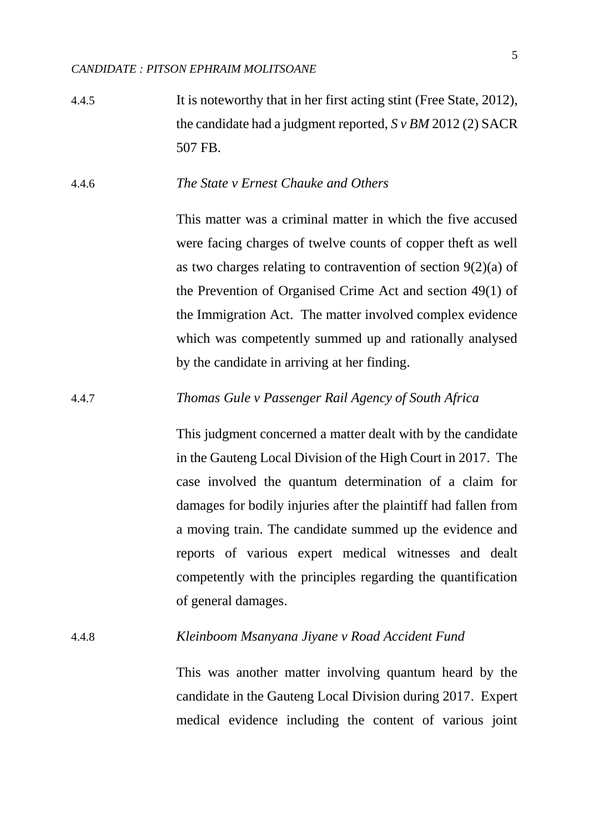4.4.5 It is noteworthy that in her first acting stint (Free State, 2012), the candidate had a judgment reported, *S v BM* 2012 (2) SACR 507 FB.

## 4.4.6 *The State v Ernest Chauke and Others*

This matter was a criminal matter in which the five accused were facing charges of twelve counts of copper theft as well as two charges relating to contravention of section 9(2)(a) of the Prevention of Organised Crime Act and section 49(1) of the Immigration Act. The matter involved complex evidence which was competently summed up and rationally analysed by the candidate in arriving at her finding.

## 4.4.7 *Thomas Gule v Passenger Rail Agency of South Africa*

This judgment concerned a matter dealt with by the candidate in the Gauteng Local Division of the High Court in 2017. The case involved the quantum determination of a claim for damages for bodily injuries after the plaintiff had fallen from a moving train. The candidate summed up the evidence and reports of various expert medical witnesses and dealt competently with the principles regarding the quantification of general damages.

#### 4.4.8 *Kleinboom Msanyana Jiyane v Road Accident Fund*

This was another matter involving quantum heard by the candidate in the Gauteng Local Division during 2017. Expert medical evidence including the content of various joint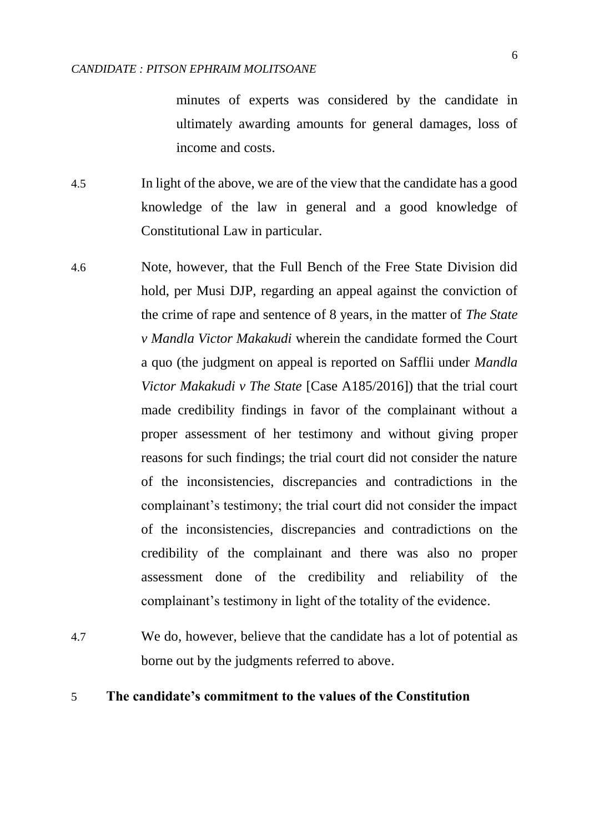minutes of experts was considered by the candidate in ultimately awarding amounts for general damages, loss of income and costs.

- 4.5 In light of the above, we are of the view that the candidate has a good knowledge of the law in general and a good knowledge of Constitutional Law in particular.
- 4.6 Note, however, that the Full Bench of the Free State Division did hold, per Musi DJP, regarding an appeal against the conviction of the crime of rape and sentence of 8 years, in the matter of *The State v Mandla Victor Makakudi* wherein the candidate formed the Court a quo (the judgment on appeal is reported on Safflii under *Mandla Victor Makakudi v The State* [Case A185/2016]) that the trial court made credibility findings in favor of the complainant without a proper assessment of her testimony and without giving proper reasons for such findings; the trial court did not consider the nature of the inconsistencies, discrepancies and contradictions in the complainant's testimony; the trial court did not consider the impact of the inconsistencies, discrepancies and contradictions on the credibility of the complainant and there was also no proper assessment done of the credibility and reliability of the complainant's testimony in light of the totality of the evidence.
- 4.7 We do, however, believe that the candidate has a lot of potential as borne out by the judgments referred to above.

### 5 **The candidate's commitment to the values of the Constitution**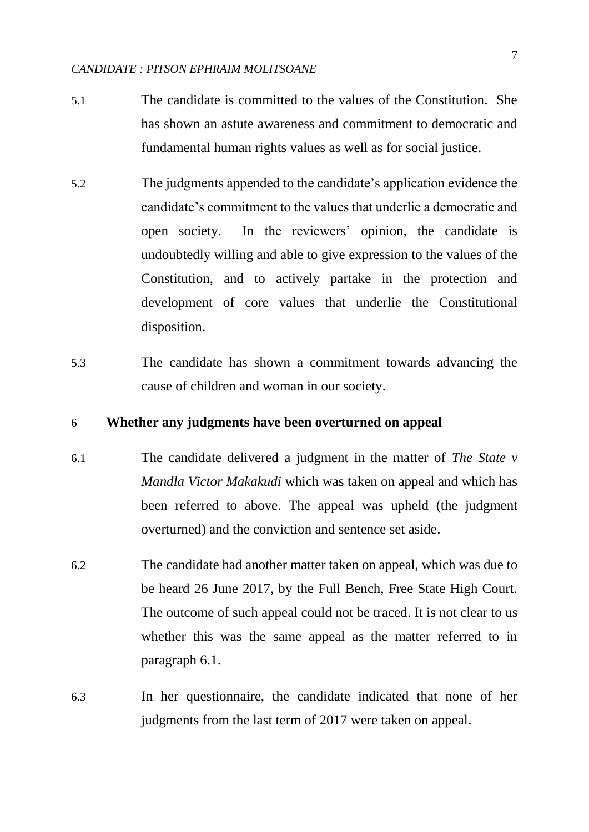- 5.1 The candidate is committed to the values of the Constitution. She has shown an astute awareness and commitment to democratic and fundamental human rights values as well as for social justice.
- 5.2 The judgments appended to the candidate's application evidence the candidate's commitment to the values that underlie a democratic and open society. In the reviewers' opinion, the candidate is undoubtedly willing and able to give expression to the values of the Constitution, and to actively partake in the protection and development of core values that underlie the Constitutional disposition.
- 5.3 The candidate has shown a commitment towards advancing the cause of children and woman in our society.

## 6 **Whether any judgments have been overturned on appeal**

- 6.1 The candidate delivered a judgment in the matter of *The State v Mandla Victor Makakudi* which was taken on appeal and which has been referred to above. The appeal was upheld (the judgment overturned) and the conviction and sentence set aside.
- 6.2 The candidate had another matter taken on appeal, which was due to be heard 26 June 2017, by the Full Bench, Free State High Court. The outcome of such appeal could not be traced. It is not clear to us whether this was the same appeal as the matter referred to in paragraph 6.1.
- 6.3 In her questionnaire, the candidate indicated that none of her judgments from the last term of 2017 were taken on appeal.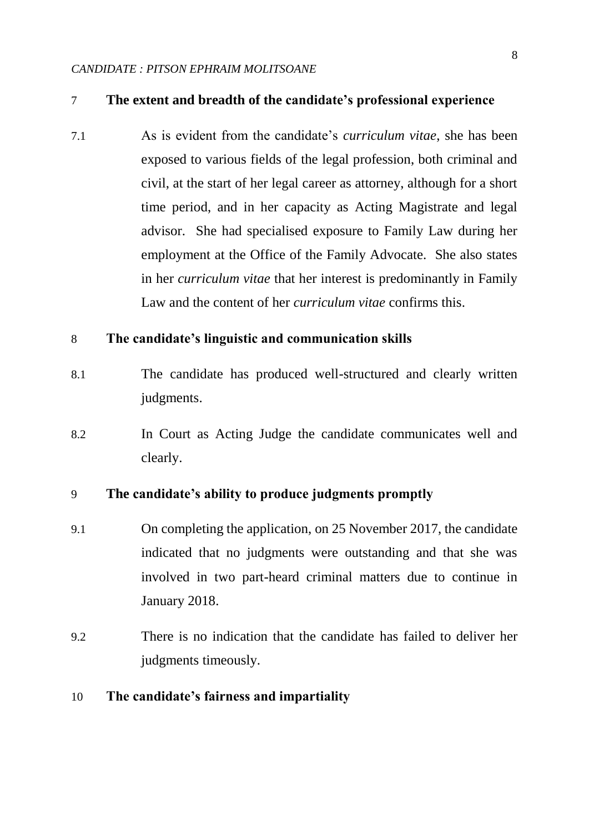## 7 **The extent and breadth of the candidate's professional experience**

7.1 As is evident from the candidate's *curriculum vitae*, she has been exposed to various fields of the legal profession, both criminal and civil, at the start of her legal career as attorney, although for a short time period, and in her capacity as Acting Magistrate and legal advisor. She had specialised exposure to Family Law during her employment at the Office of the Family Advocate. She also states in her *curriculum vitae* that her interest is predominantly in Family Law and the content of her *curriculum vitae* confirms this.

### 8 **The candidate's linguistic and communication skills**

- 8.1 The candidate has produced well-structured and clearly written judgments.
- 8.2 In Court as Acting Judge the candidate communicates well and clearly.

## 9 **The candidate's ability to produce judgments promptly**

- 9.1 On completing the application, on 25 November 2017, the candidate indicated that no judgments were outstanding and that she was involved in two part-heard criminal matters due to continue in January 2018.
- 9.2 There is no indication that the candidate has failed to deliver her judgments timeously.

## 10 **The candidate's fairness and impartiality**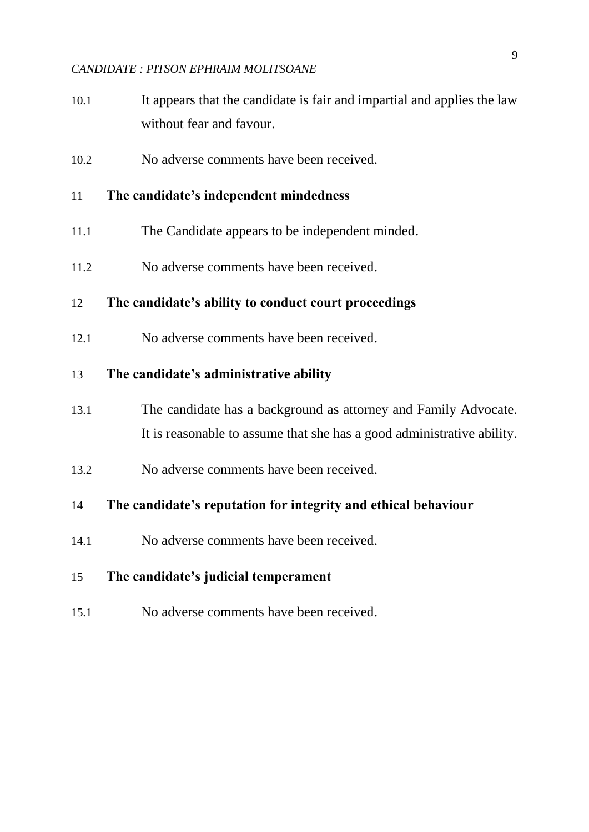- 10.1 It appears that the candidate is fair and impartial and applies the law without fear and favour.
- 10.2 No adverse comments have been received.

## 11 **The candidate's independent mindedness**

- 11.1 The Candidate appears to be independent minded.
- 11.2 No adverse comments have been received.

# 12 **The candidate's ability to conduct court proceedings**

12.1 No adverse comments have been received.

### 13 **The candidate's administrative ability**

- 13.1 The candidate has a background as attorney and Family Advocate. It is reasonable to assume that she has a good administrative ability.
- 13.2 No adverse comments have been received.

# 14 **The candidate's reputation for integrity and ethical behaviour**

14.1 No adverse comments have been received.

# 15 **The candidate's judicial temperament**

15.1 No adverse comments have been received.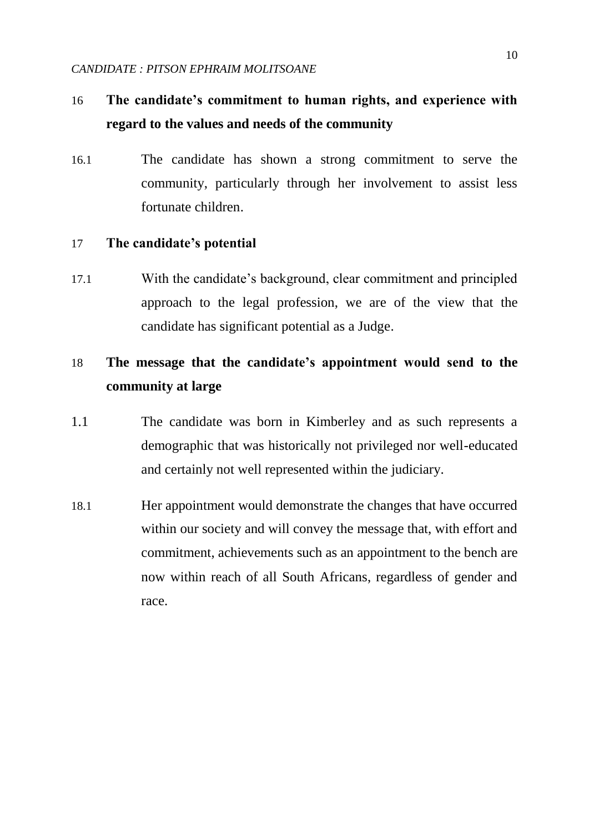# 16 **The candidate's commitment to human rights, and experience with regard to the values and needs of the community**

16.1 The candidate has shown a strong commitment to serve the community, particularly through her involvement to assist less fortunate children.

### 17 **The candidate's potential**

17.1 With the candidate's background, clear commitment and principled approach to the legal profession, we are of the view that the candidate has significant potential as a Judge.

# 18 **The message that the candidate's appointment would send to the community at large**

- 1.1 The candidate was born in Kimberley and as such represents a demographic that was historically not privileged nor well-educated and certainly not well represented within the judiciary.
- 18.1 Her appointment would demonstrate the changes that have occurred within our society and will convey the message that, with effort and commitment, achievements such as an appointment to the bench are now within reach of all South Africans, regardless of gender and race.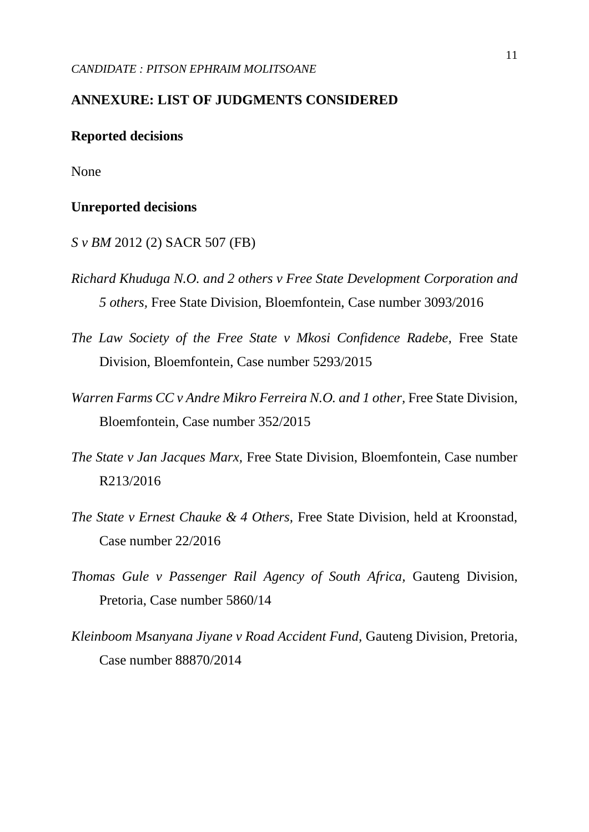# **ANNEXURE: LIST OF JUDGMENTS CONSIDERED**

#### **Reported decisions**

None

#### **Unreported decisions**

- *S v BM* 2012 (2) SACR 507 (FB)
- *Richard Khuduga N.O. and 2 others v Free State Development Corporation and 5 others,* Free State Division, Bloemfontein, Case number 3093/2016
- *The Law Society of the Free State v Mkosi Confidence Radebe,* Free State Division, Bloemfontein, Case number 5293/2015
- *Warren Farms CC v Andre Mikro Ferreira N.O. and 1 other, Free State Division,* Bloemfontein, Case number 352/2015
- *The State v Jan Jacques Marx,* Free State Division, Bloemfontein, Case number R213/2016
- *The State v Ernest Chauke & 4 Others, Free State Division, held at Kroonstad,* Case number 22/2016
- *Thomas Gule v Passenger Rail Agency of South Africa,* Gauteng Division, Pretoria, Case number 5860/14
- *Kleinboom Msanyana Jiyane v Road Accident Fund,* Gauteng Division, Pretoria, Case number 88870/2014